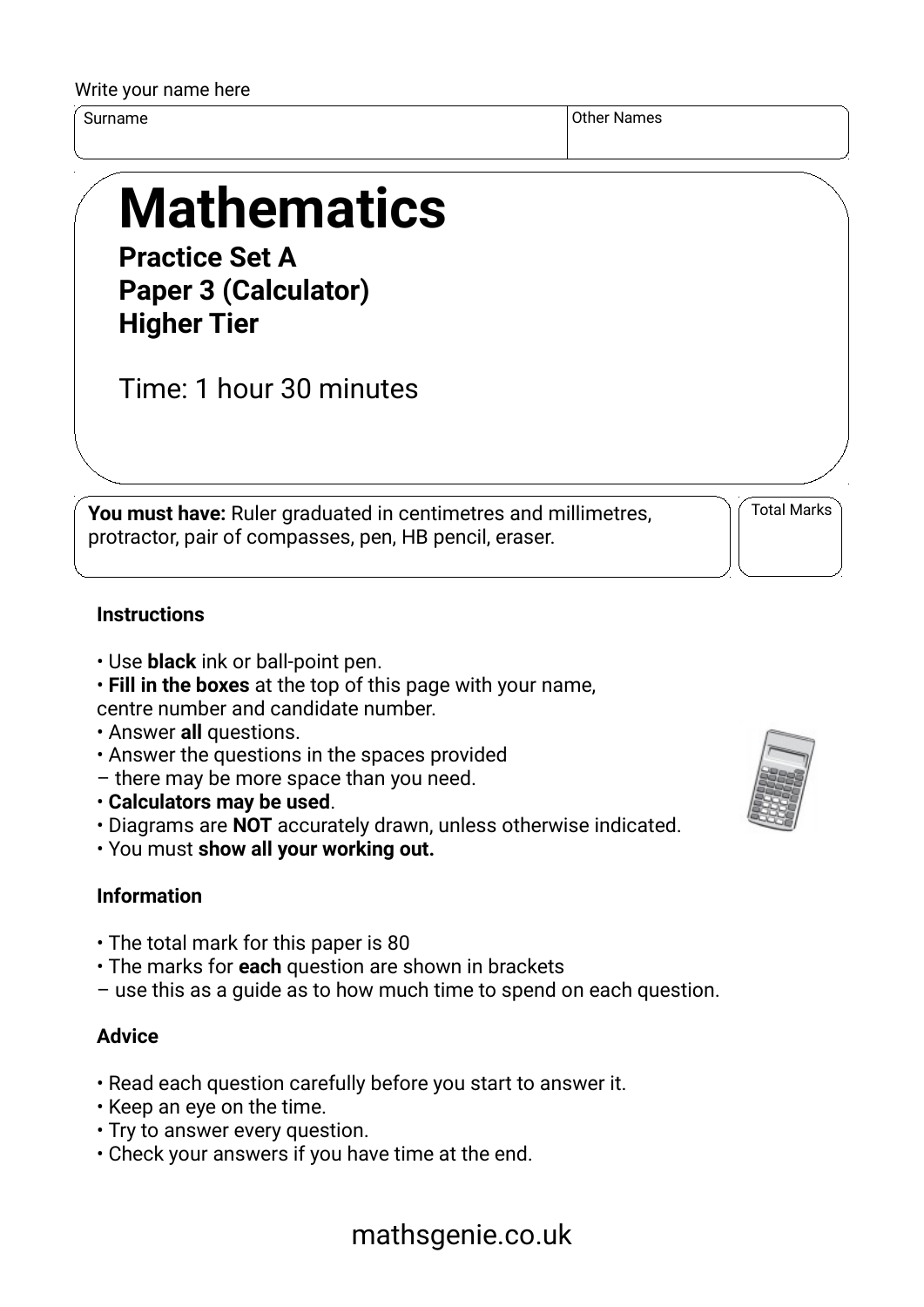#### Write your name here

Surname Other Names of the Surname of the Surname of the Surname of the Surname of the Surname of the Surname o

# **Mathematics**

**Practice Set A Paper 3 (Calculator) Higher Tier**

Time: 1 hour 30 minutes

**You must have:** Ruler graduated in centimetres and millimetres, protractor, pair of compasses, pen, HB pencil, eraser.

Total Marks

### **Instructions**

- Use **black** ink or ball-point pen.
- **Fill in the boxes** at the top of this page with your name,

centre number and candidate number.

- Answer **all** questions.
- Answer the questions in the spaces provided
- there may be more space than you need.
- **Calculators may be used**.
- Diagrams are **NOT** accurately drawn, unless otherwise indicated.
- You must **show all your working out.**

# **Information**

- The total mark for this paper is 80
- The marks for **each** question are shown in brackets
- use this as a guide as to how much time to spend on each question.

## **Advice**

- Read each question carefully before you start to answer it.
- Keep an eye on the time.
- Try to answer every question.
- Check your answers if you have time at the end.



# mathsgenie.co.uk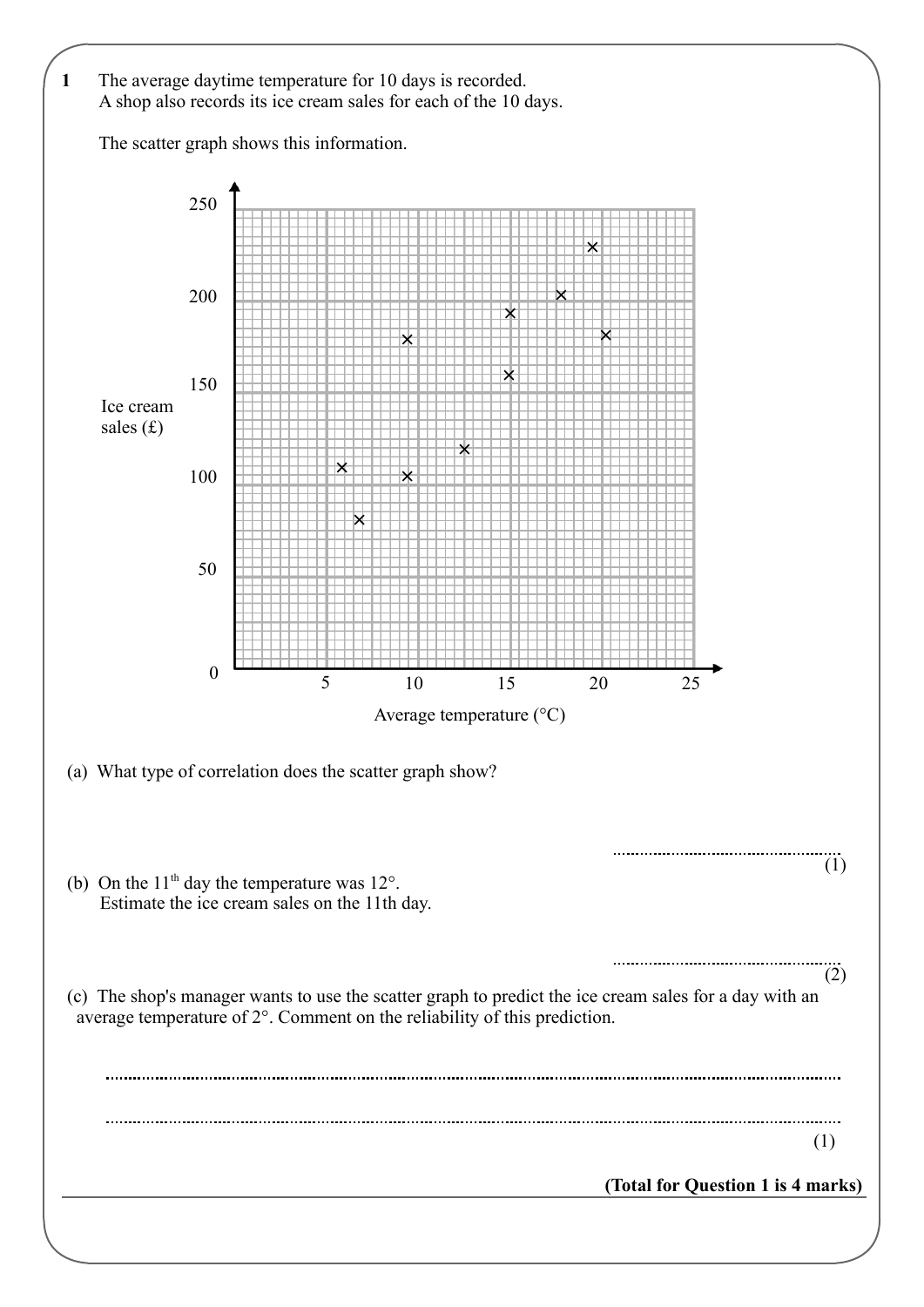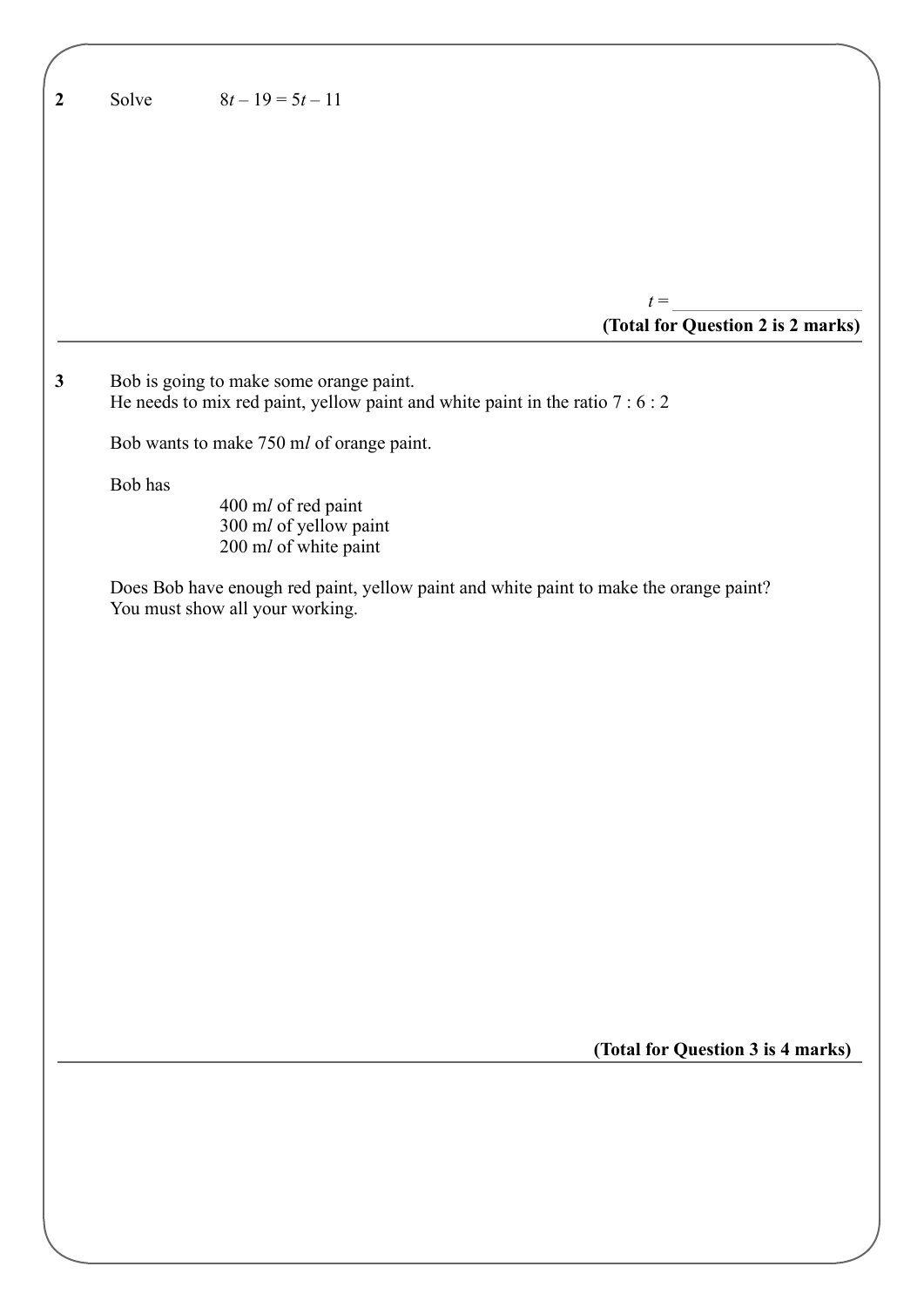| $\boldsymbol{2}$ | Solve   | $8t-19=5t-11$                                                                                                             |
|------------------|---------|---------------------------------------------------------------------------------------------------------------------------|
|                  |         |                                                                                                                           |
|                  |         |                                                                                                                           |
|                  |         |                                                                                                                           |
|                  |         |                                                                                                                           |
|                  |         | $t =$<br>(Total for Question 2 is 2 marks)                                                                                |
| $\mathbf{3}$     |         | Bob is going to make some orange paint.<br>He needs to mix red paint, yellow paint and white paint in the ratio $7:6:2$   |
|                  |         | Bob wants to make 750 ml of orange paint.                                                                                 |
|                  | Bob has | 400 ml of red paint<br>300 ml of yellow paint<br>200 ml of white paint                                                    |
|                  |         | Does Bob have enough red paint, yellow paint and white paint to make the orange paint?<br>You must show all your working. |
|                  |         |                                                                                                                           |
|                  |         |                                                                                                                           |
|                  |         |                                                                                                                           |
|                  |         |                                                                                                                           |
|                  |         |                                                                                                                           |
|                  |         |                                                                                                                           |
|                  |         |                                                                                                                           |
|                  |         |                                                                                                                           |
|                  |         |                                                                                                                           |
|                  |         | (Total for Question 3 is 4 marks)                                                                                         |
|                  |         |                                                                                                                           |
|                  |         |                                                                                                                           |
|                  |         |                                                                                                                           |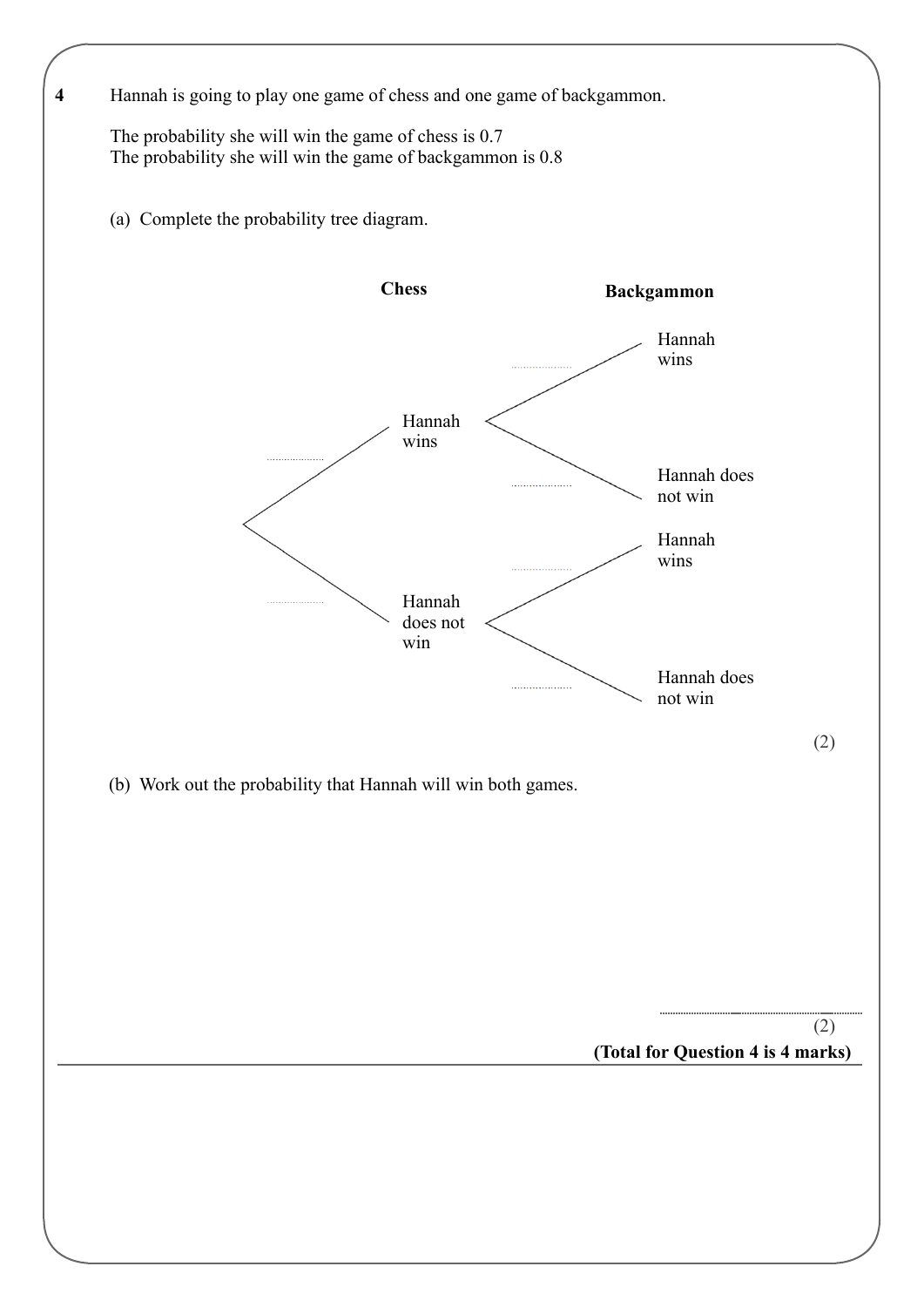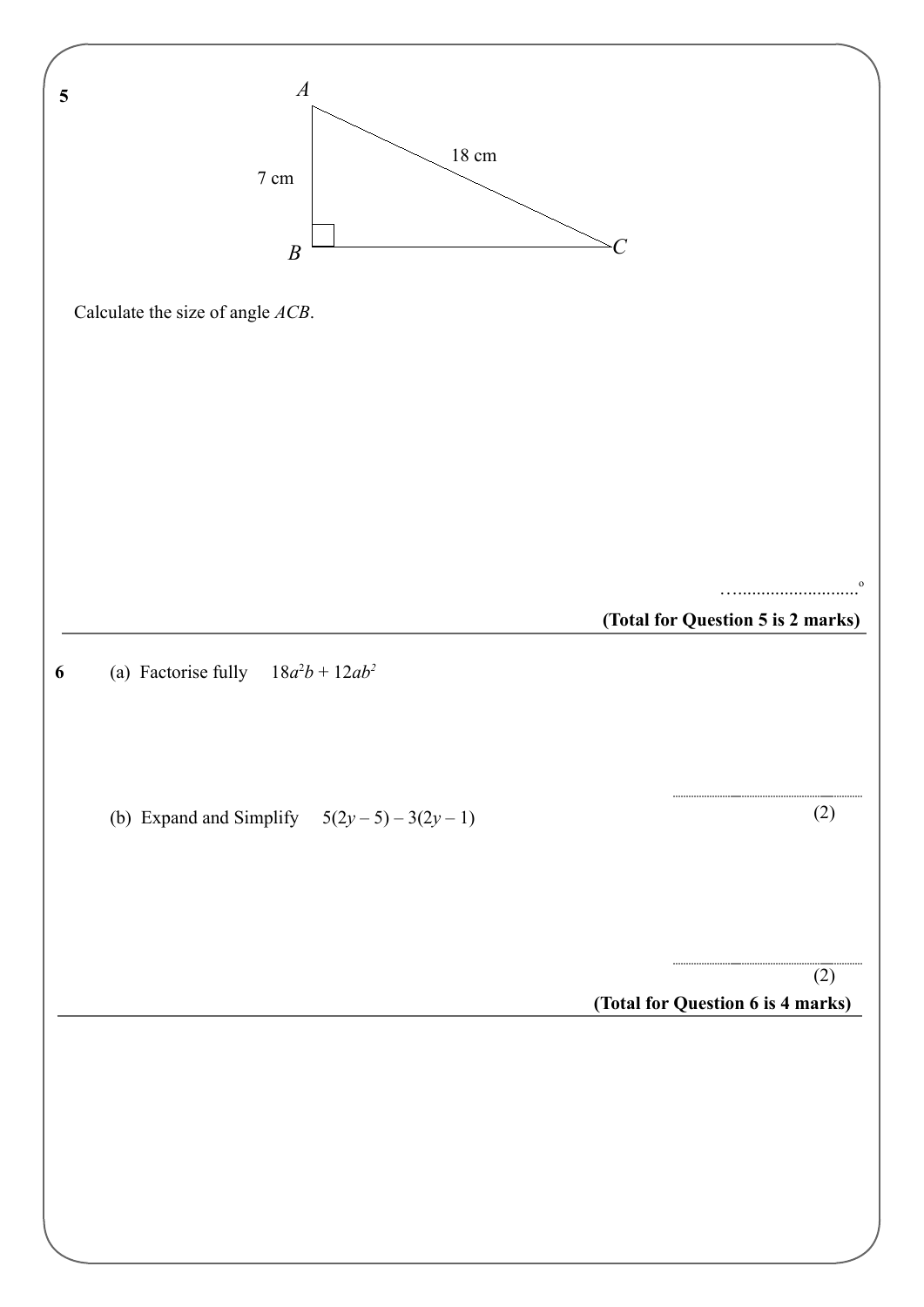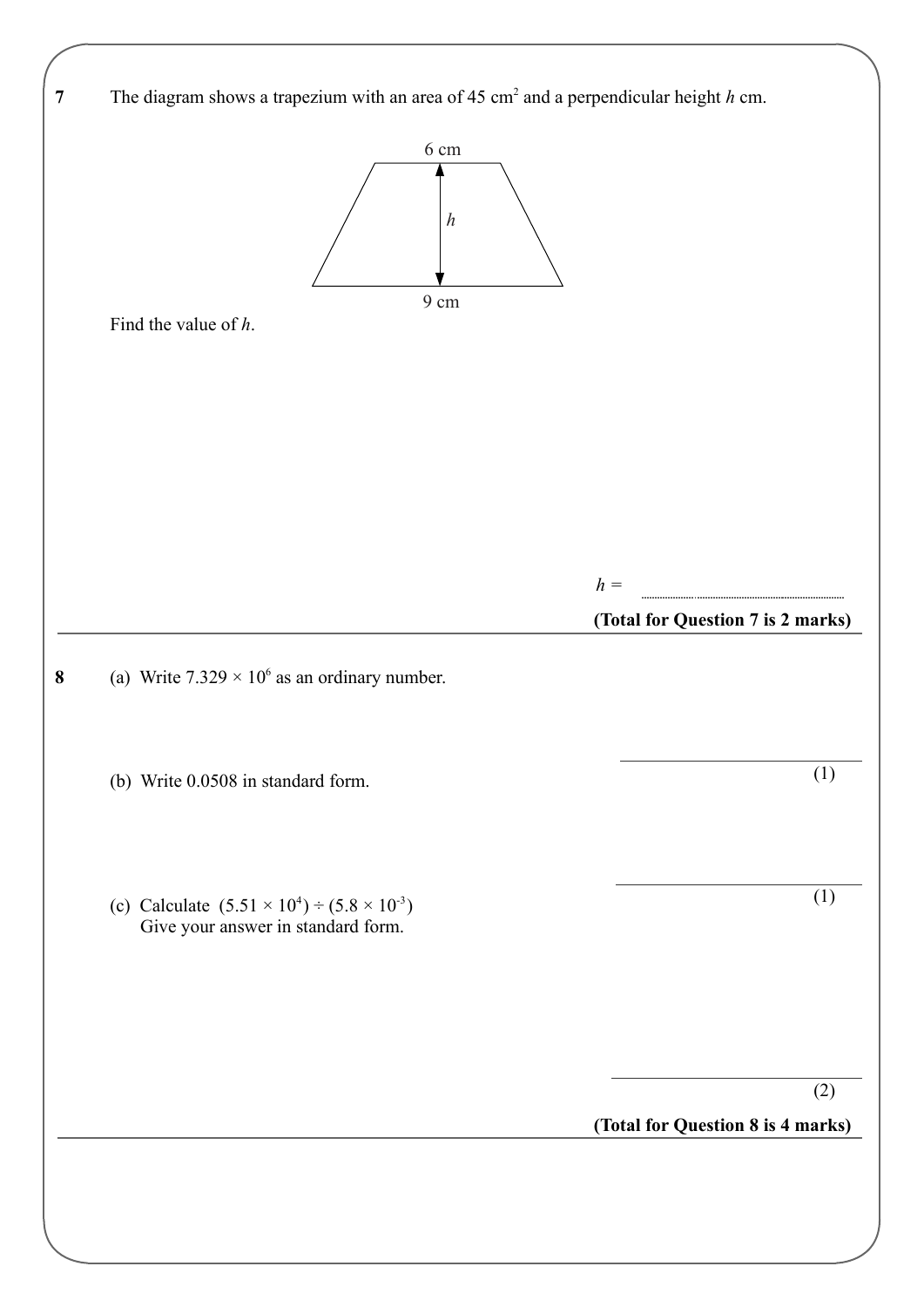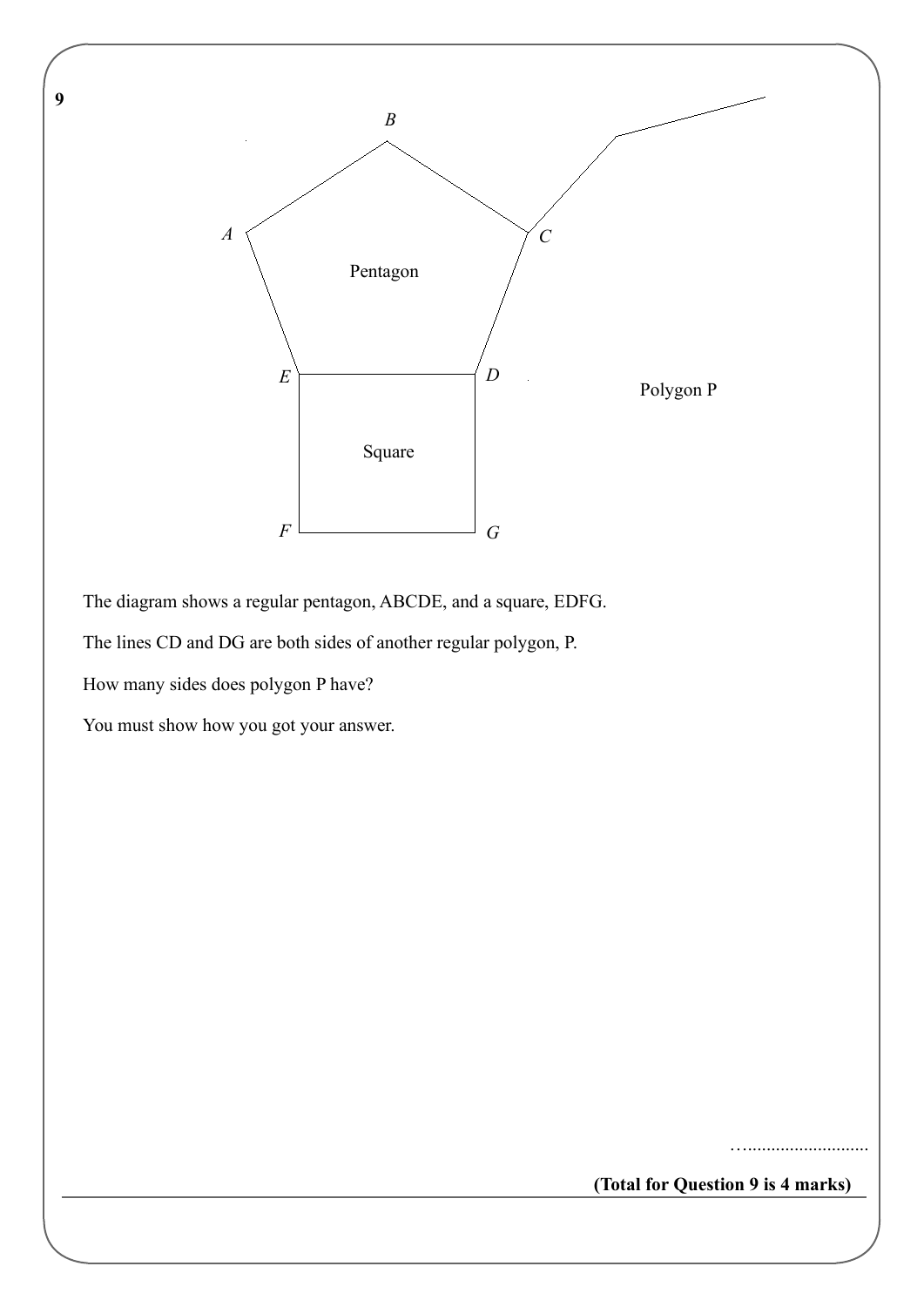**9** 



The diagram shows a regular pentagon, ABCDE, and a square, EDFG.

The lines CD and DG are both sides of another regular polygon, P.

How many sides does polygon P have?

You must show how you got your answer.

**(Total for Question 9 is 4 marks)**

…..........................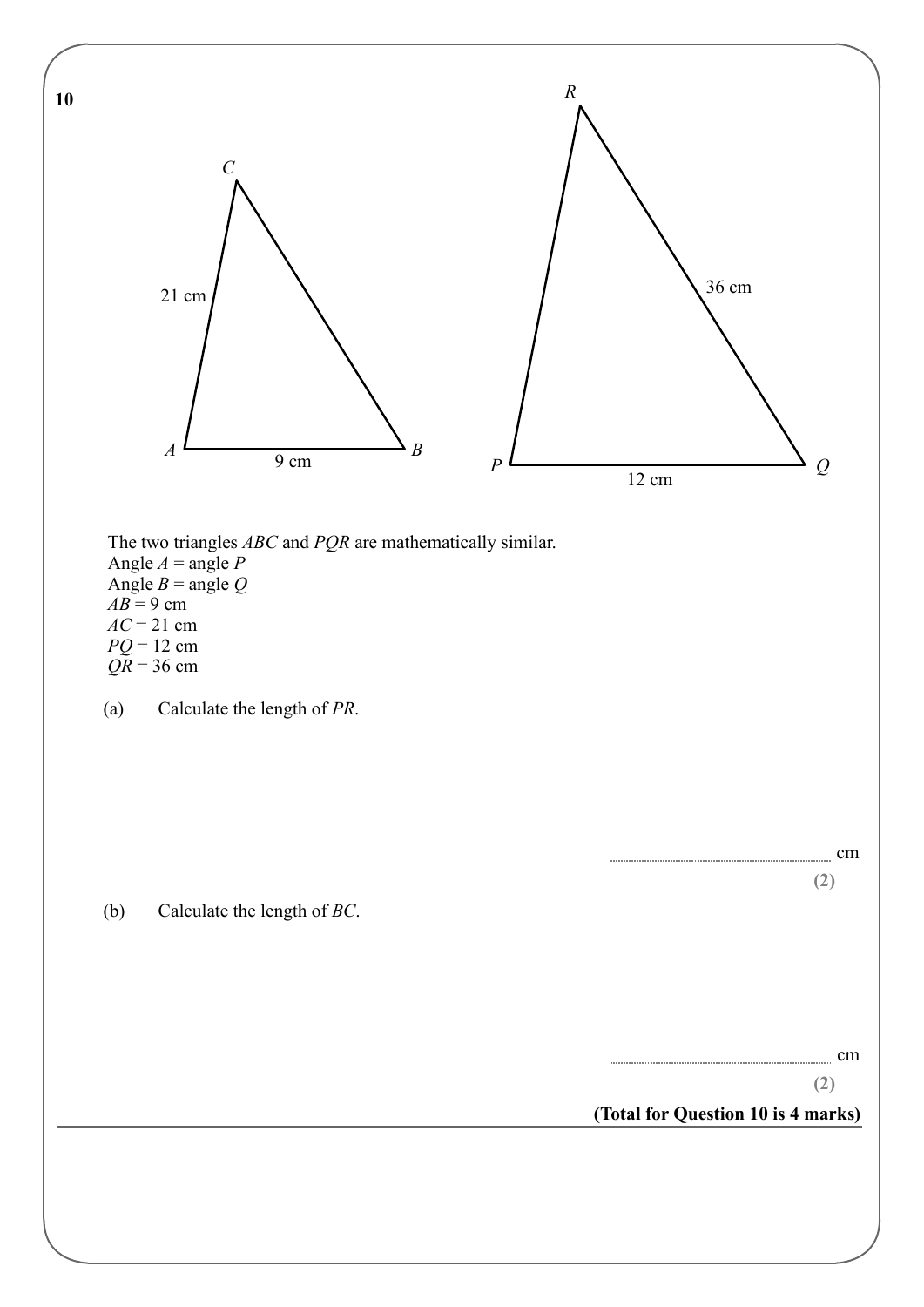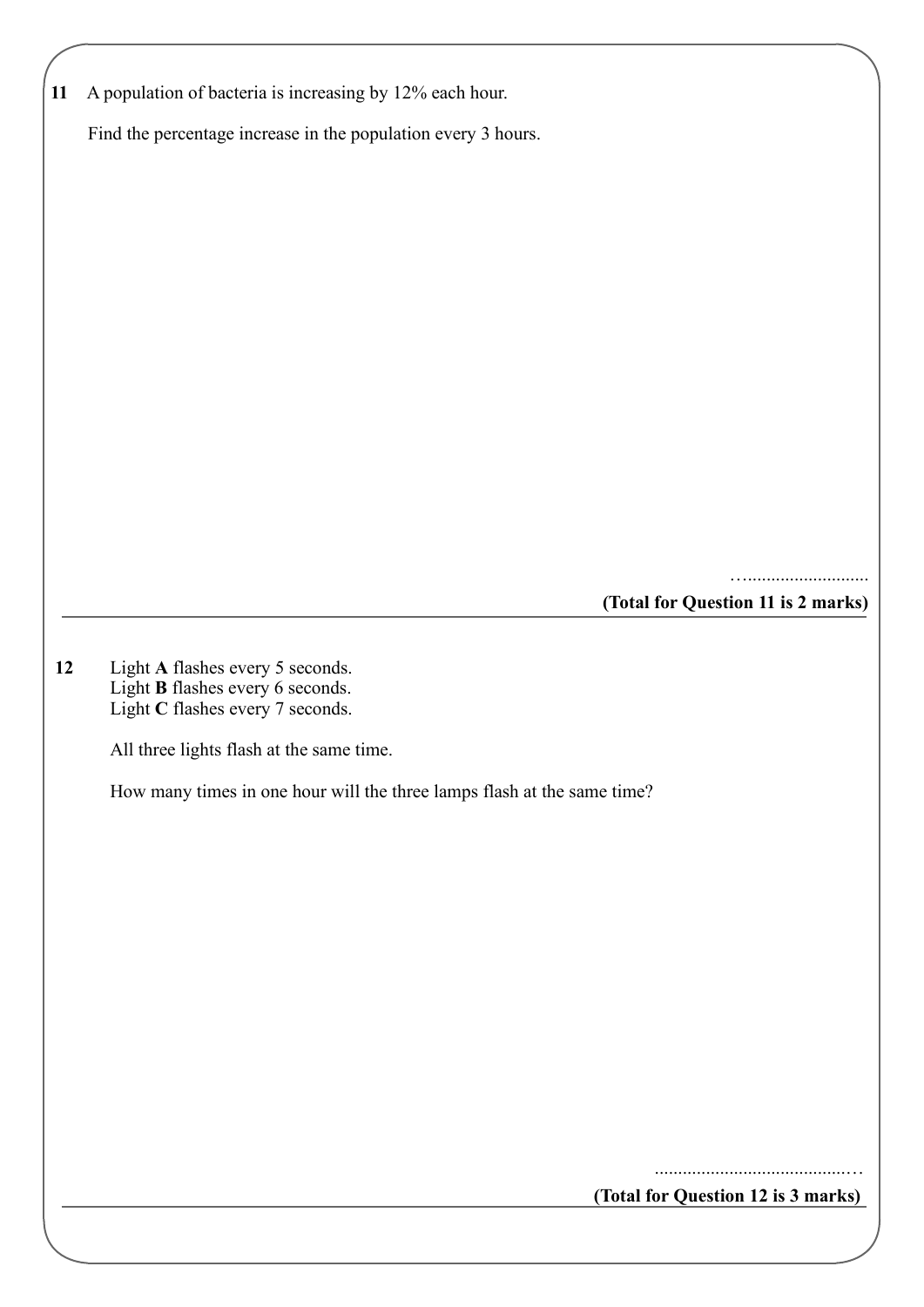| 11 | A population of bacteria is increasing by 12% each hour.                |
|----|-------------------------------------------------------------------------|
|    | Find the percentage increase in the population every 3 hours.           |
|    |                                                                         |
|    |                                                                         |
|    |                                                                         |
|    |                                                                         |
|    |                                                                         |
|    |                                                                         |
|    |                                                                         |
|    |                                                                         |
|    |                                                                         |
|    |                                                                         |
|    |                                                                         |
|    |                                                                         |
|    | .<br>(Total for Question 11 is 2 marks)                                 |
|    |                                                                         |
| 12 | Light A flashes every 5 seconds.                                        |
|    | Light B flashes every 6 seconds.<br>Light C flashes every 7 seconds.    |
|    |                                                                         |
|    | All three lights flash at the same time.                                |
|    | How many times in one hour will the three lamps flash at the same time? |
|    |                                                                         |
|    |                                                                         |
|    |                                                                         |
|    |                                                                         |
|    |                                                                         |
|    |                                                                         |
|    |                                                                         |
|    |                                                                         |
|    |                                                                         |
|    |                                                                         |
|    | (Total for Question 12 is 3 marks)                                      |
|    |                                                                         |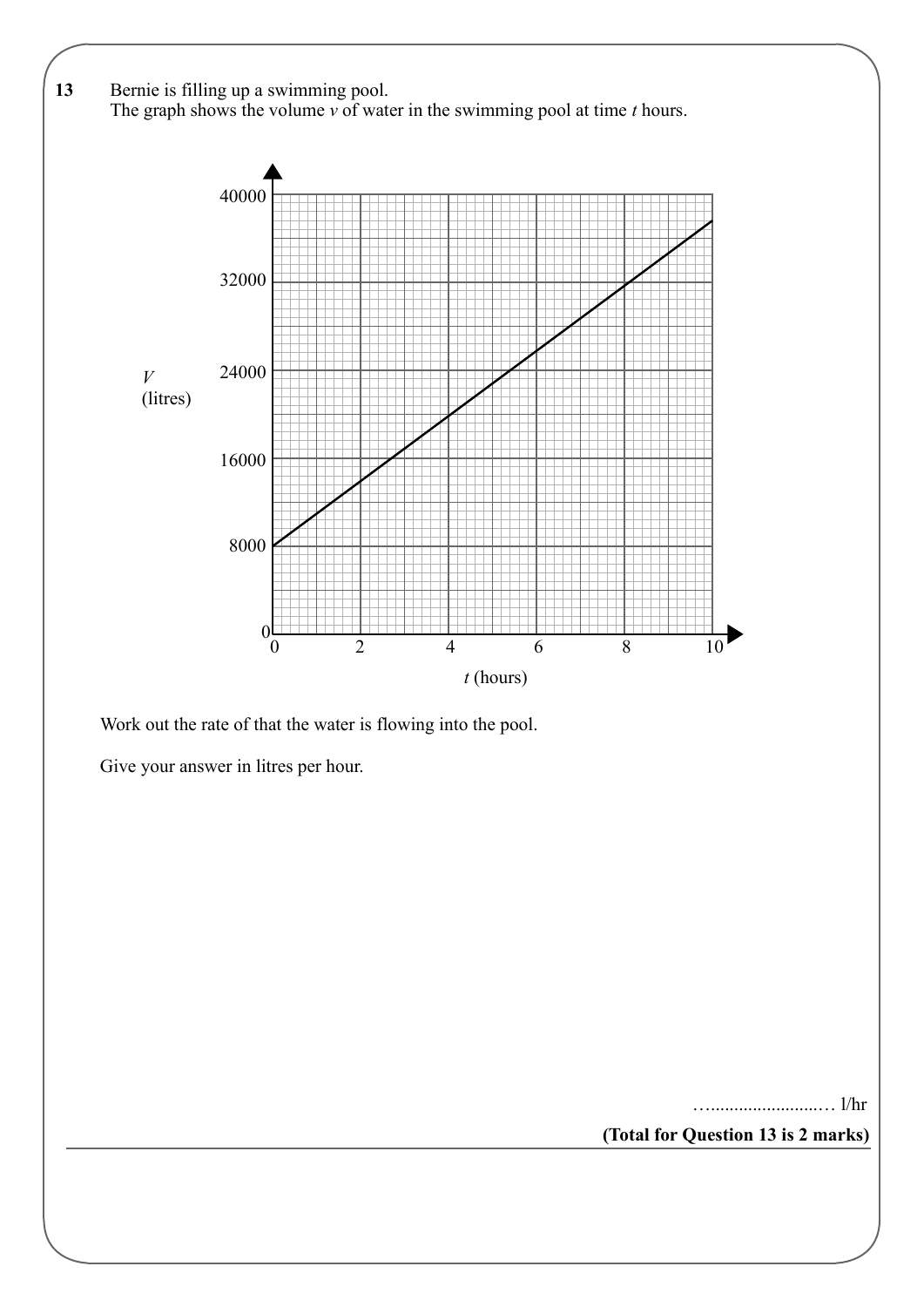

Work out the rate of that the water is flowing into the pool.

Give your answer in litres per hour.

….......................… l/hr

**(Total for Question 13 is 2 marks)**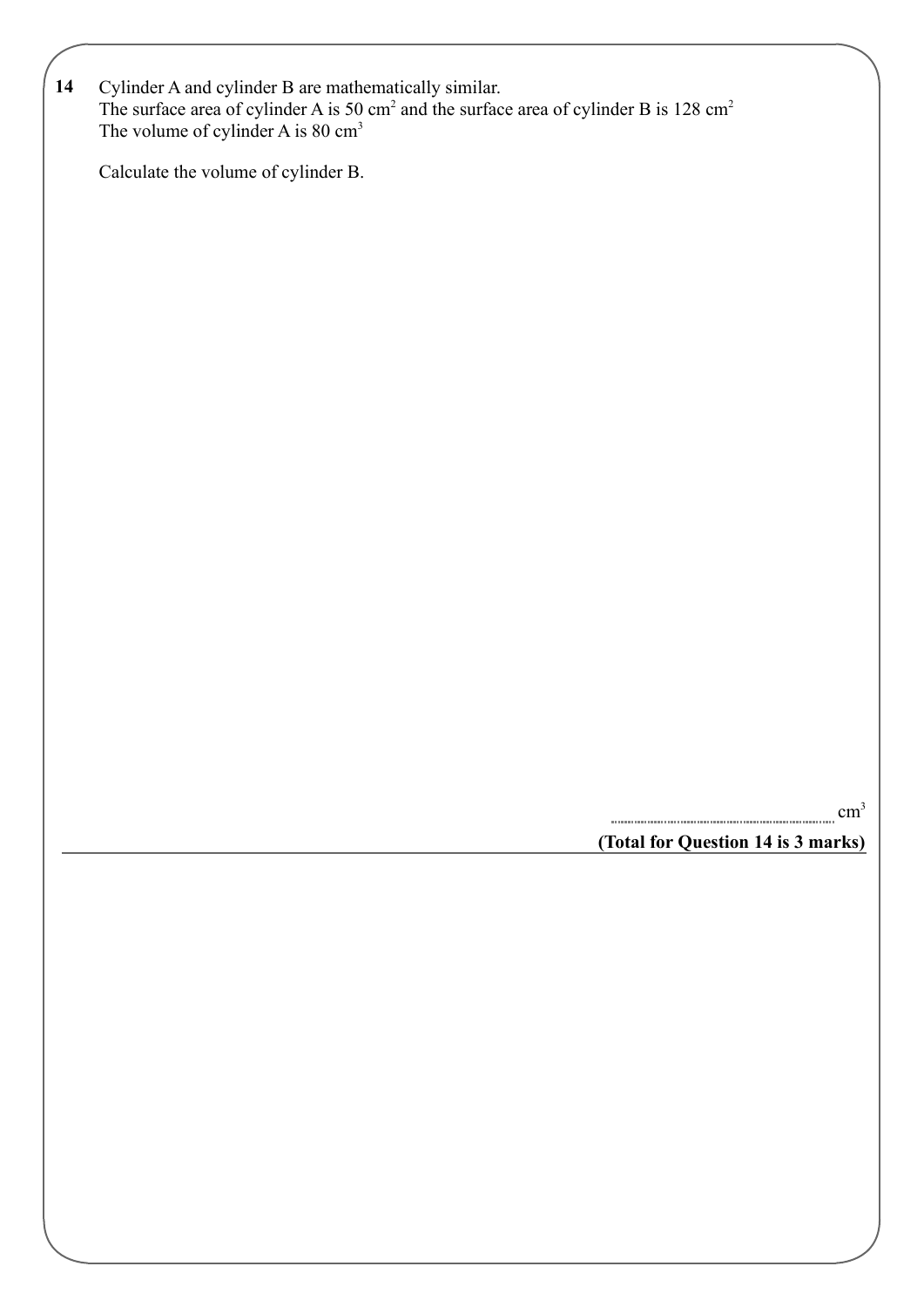| 14 Cylinder A and cylinder B are mathematically similar.                                                       |
|----------------------------------------------------------------------------------------------------------------|
| The surface area of cylinder A is 50 cm <sup>2</sup> and the surface area of cylinder B is 128 cm <sup>2</sup> |
| The volume of cylinder A is $80 \text{ cm}^3$                                                                  |

Calculate the volume of cylinder B.

**(Total for Question 14 is 3 marks)** cm<sup>3</sup>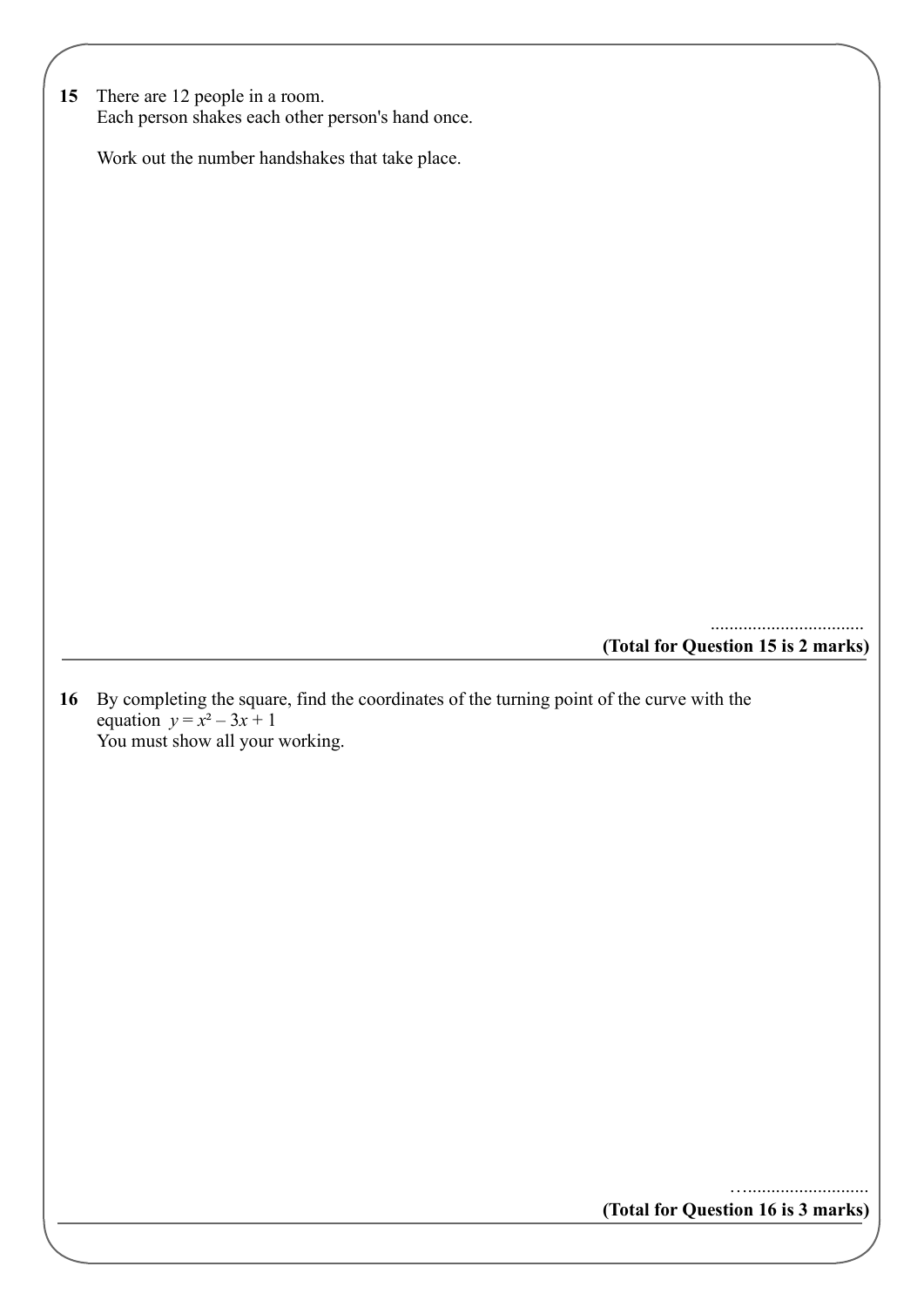| 15 There are 12 people in a room.                 |
|---------------------------------------------------|
| Each person shakes each other person's hand once. |

Work out the number handshakes that take place.

**(Total for Question 15 is 2 marks)**

.................................

**16** By completing the square, find the coordinates of the turning point of the curve with the equation  $y = x^2 - 3x + 1$ You must show all your working.

**(Total for Question 16 is 3 marks)**

…..........................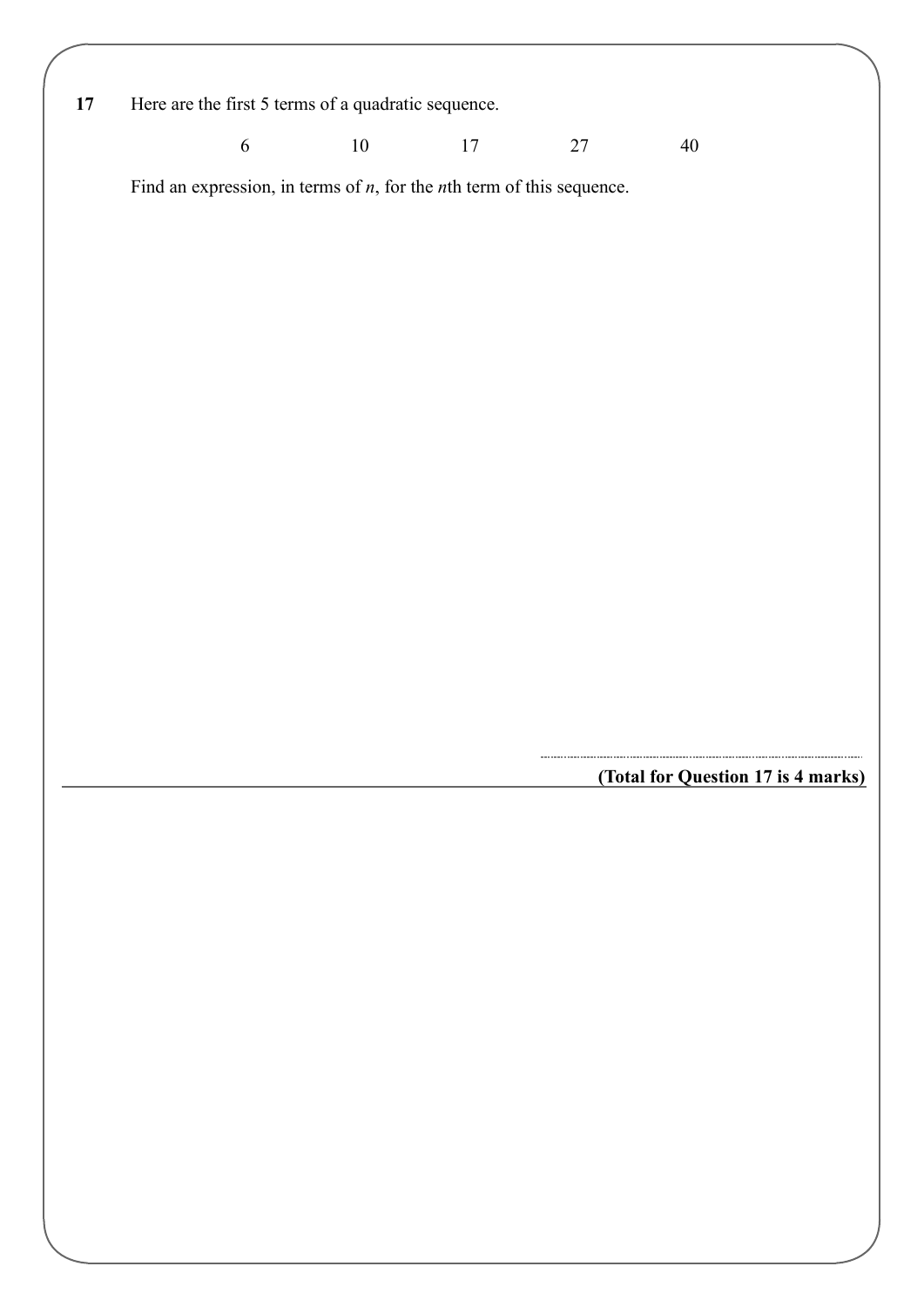**17** Here are the first 5 terms of a quadratic sequence.

6 10 17 27 40

Find an expression, in terms of *n*, for the *n*th term of this sequence.

**(Total for Question 17 is 4 marks)**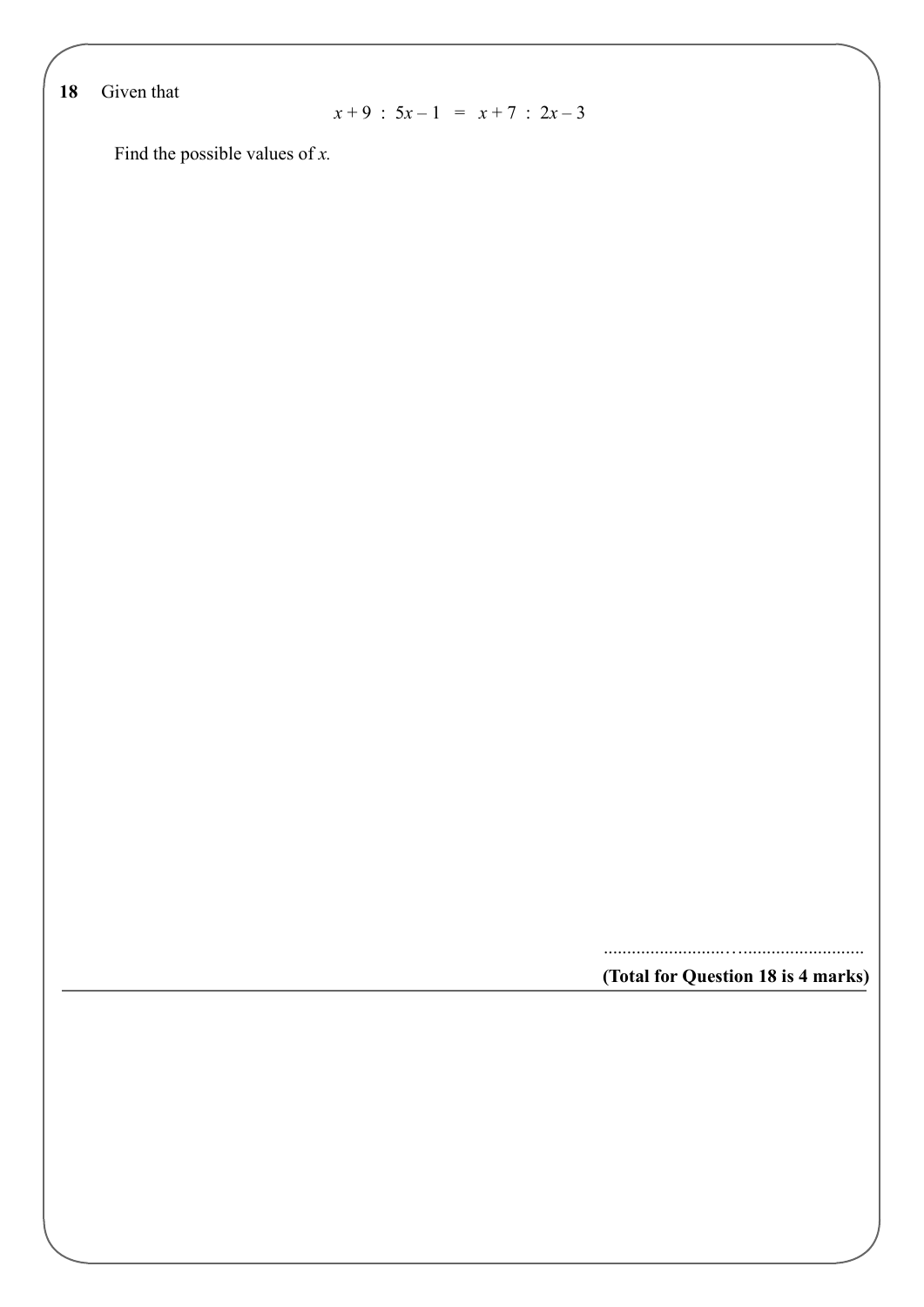**18** Given that

 $x + 9 : 5x - 1 = x + 7 : 2x - 3$ 

Find the possible values of *x.*

**(Total for Question 18 is 4 marks)** ..........................…..........................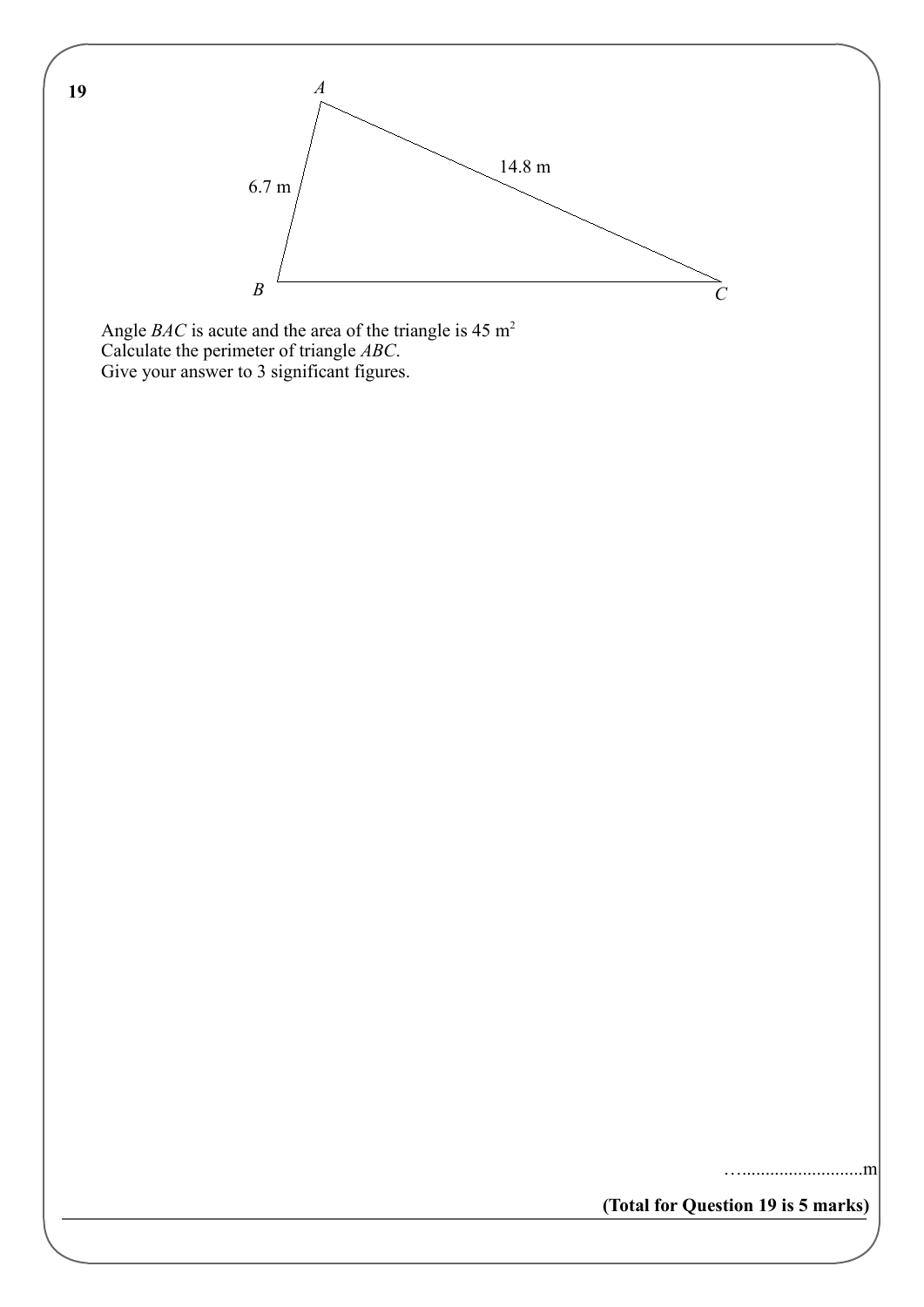

Angle *BAC* is acute and the area of the triangle is  $45 \text{ m}^2$ Calculate the perimeter of triangle *ABC*. Give your answer to 3 significant figures.

**(Total for Question 19 is 5 marks)**

…..........................m

**19**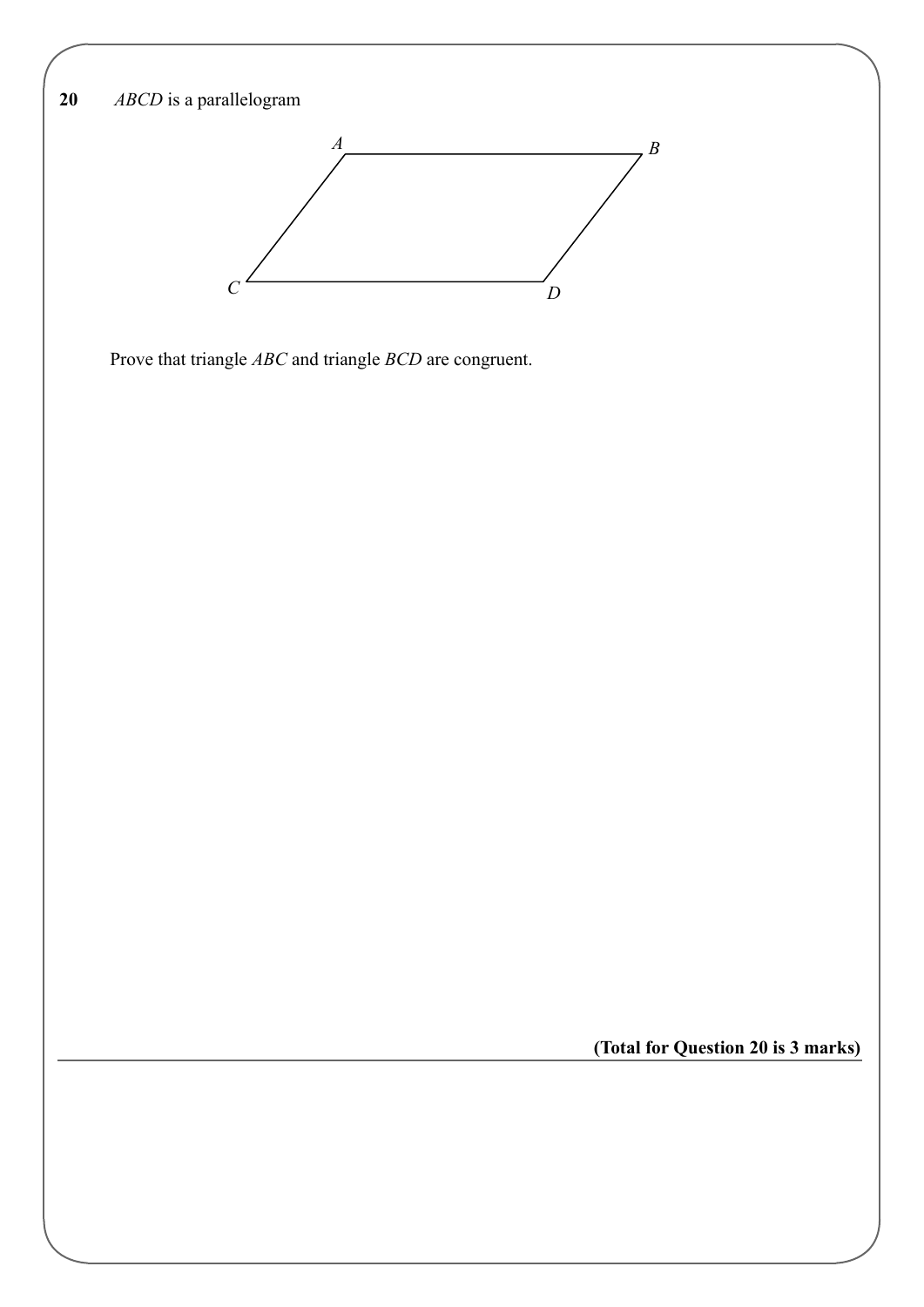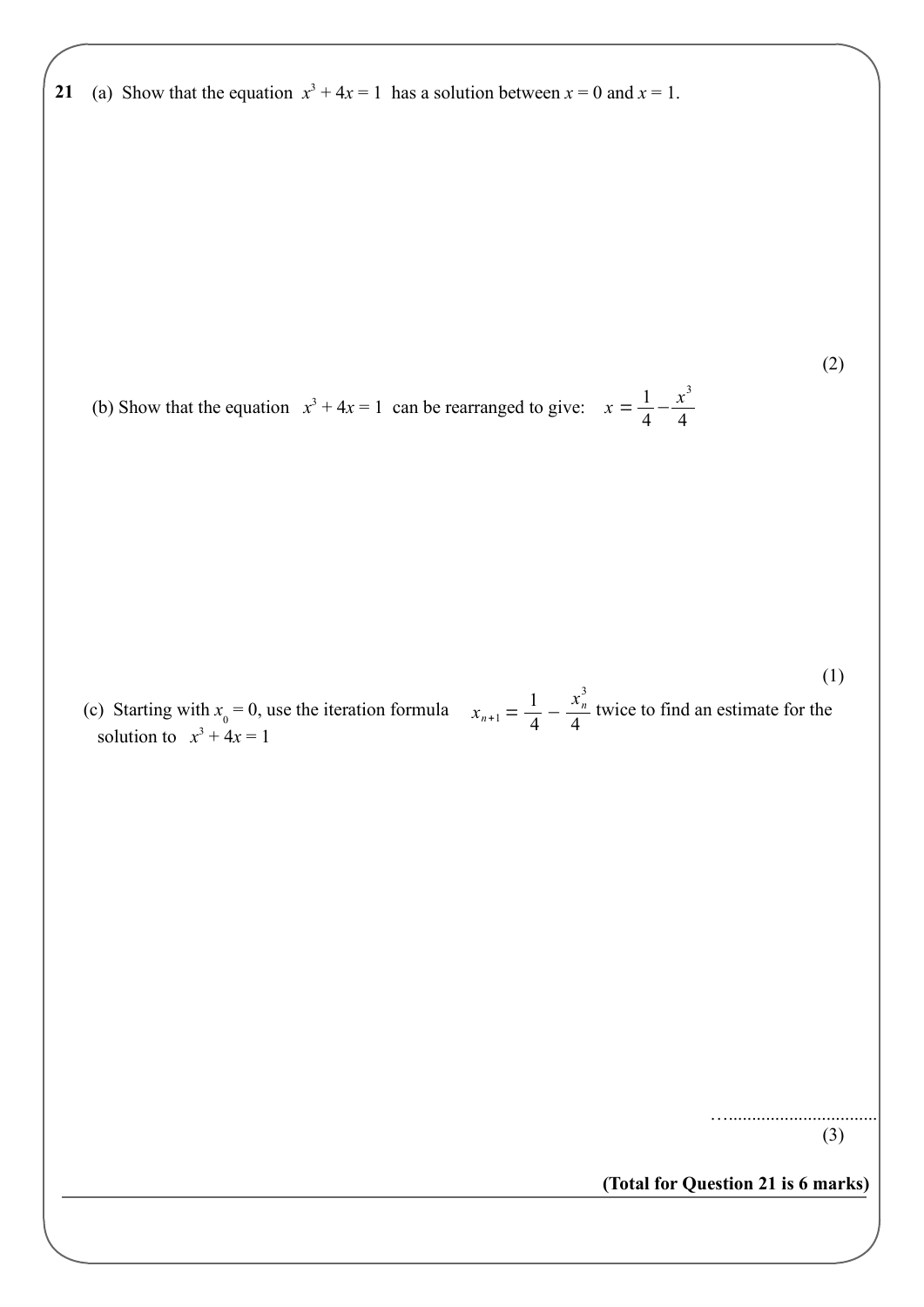**21** (a) Show that the equation  $x^3 + 4x = 1$  has a solution between  $x = 0$  and  $x = 1$ .

(2)

4

(b) Show that the equation  $x^3 + 4x = 1$  can be rearranged to give:  $x = \frac{1}{4}$  $\frac{1}{4} - \frac{x^3}{4}$ 

 $x_{n+1} = \frac{1}{4}$  $\frac{1}{4} - \frac{x_n^3}{4}$ 4 (c) Starting with  $x_0 = 0$ , use the iteration formula  $x_{n+1} = \frac{1}{4} - \frac{x_n}{4}$  twice to find an estimate for the solution to  $x^3 + 4x = 1$ (1)

> …................................ (3)

**(Total for Question 21 is 6 marks)**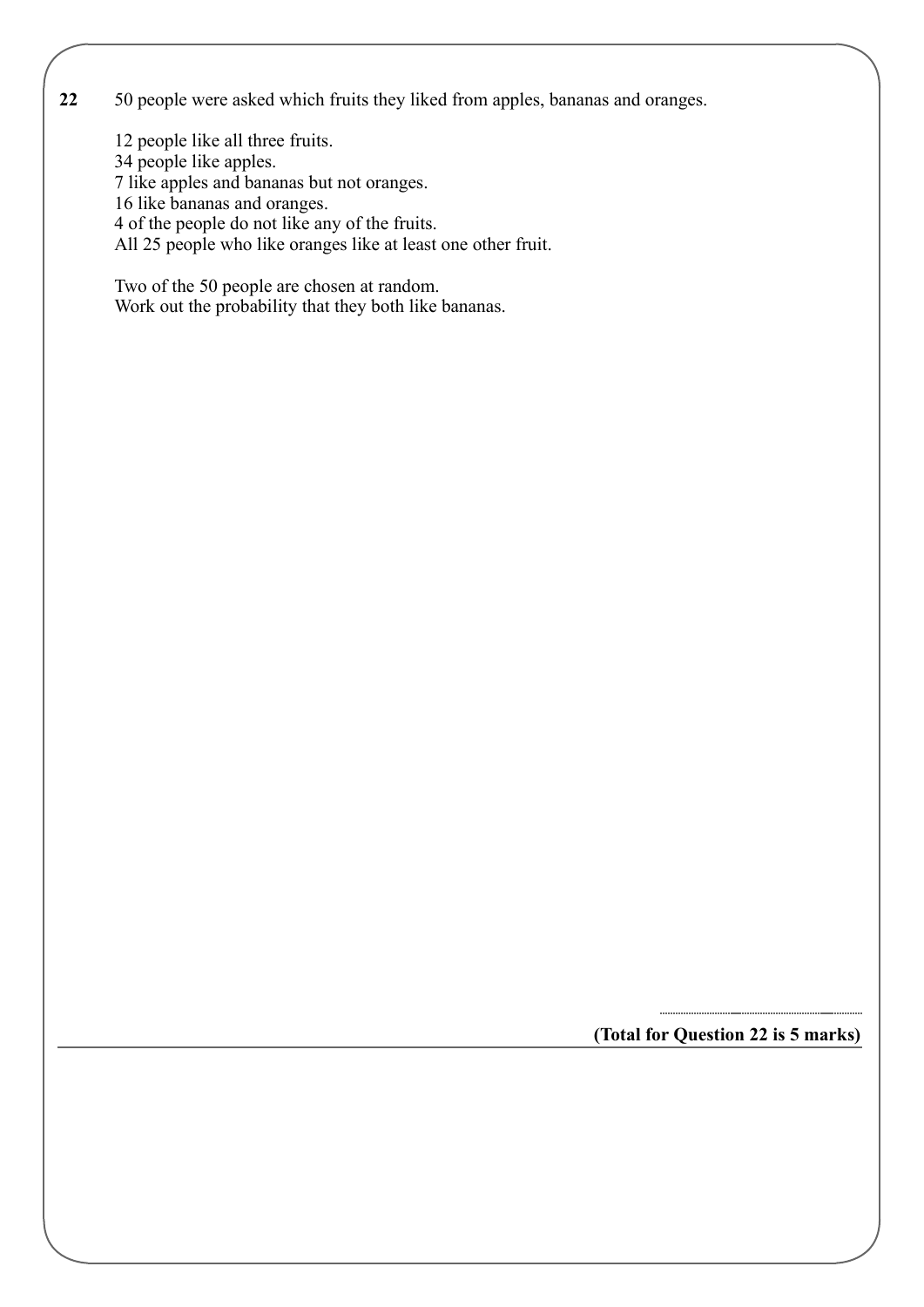**22** 50 people were asked which fruits they liked from apples, bananas and oranges.

12 people like all three fruits.

34 people like apples.

7 like apples and bananas but not oranges.

16 like bananas and oranges.

4 of the people do not like any of the fruits.

All 25 people who like oranges like at least one other fruit.

Two of the 50 people are chosen at random. Work out the probability that they both like bananas.

**(Total for Question 22 is 5 marks)**